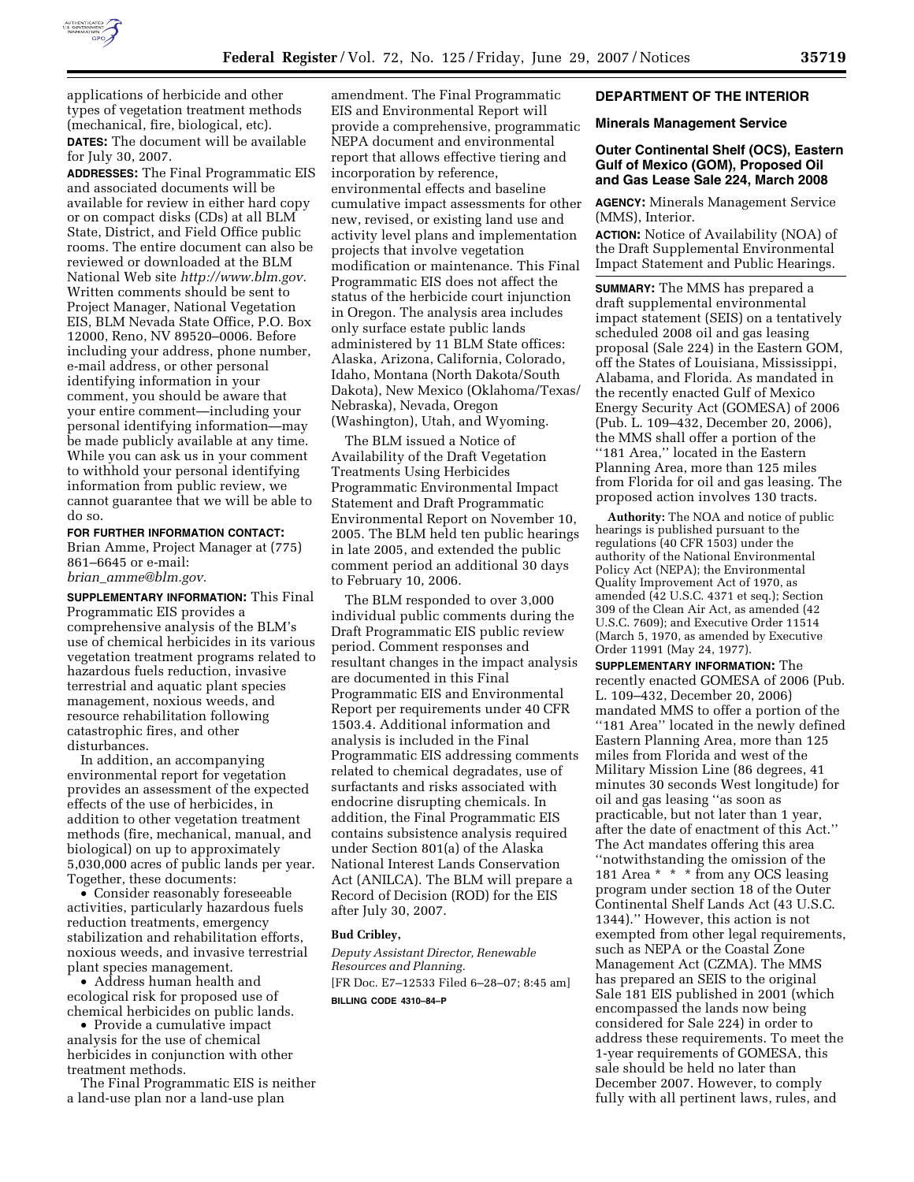

applications of herbicide and other types of vegetation treatment methods (mechanical, fire, biological, etc). **DATES:** The document will be available for July 30, 2007.

**ADDRESSES:** The Final Programmatic EIS and associated documents will be available for review in either hard copy or on compact disks (CDs) at all BLM State, District, and Field Office public rooms. The entire document can also be reviewed or downloaded at the BLM National Web site *http://www.blm.gov.*  Written comments should be sent to Project Manager, National Vegetation EIS, BLM Nevada State Office, P.O. Box 12000, Reno, NV 89520–0006. Before including your address, phone number, e-mail address, or other personal identifying information in your comment, you should be aware that your entire comment—including your personal identifying information—may be made publicly available at any time. While you can ask us in your comment to withhold your personal identifying information from public review, we cannot guarantee that we will be able to do so.

**FOR FURTHER INFORMATION CONTACT:** 

Brian Amme, Project Manager at (775) 861–6645 or e-mail: *brian*\_*amme@blm.gov.* 

**SUPPLEMENTARY INFORMATION:** This Final Programmatic EIS provides a comprehensive analysis of the BLM's use of chemical herbicides in its various vegetation treatment programs related to hazardous fuels reduction, invasive terrestrial and aquatic plant species management, noxious weeds, and resource rehabilitation following catastrophic fires, and other disturbances.

In addition, an accompanying environmental report for vegetation provides an assessment of the expected effects of the use of herbicides, in addition to other vegetation treatment methods (fire, mechanical, manual, and biological) on up to approximately 5,030,000 acres of public lands per year. Together, these documents:

• Consider reasonably foreseeable activities, particularly hazardous fuels reduction treatments, emergency stabilization and rehabilitation efforts, noxious weeds, and invasive terrestrial plant species management.

• Address human health and ecological risk for proposed use of chemical herbicides on public lands.

• Provide a cumulative impact analysis for the use of chemical herbicides in conjunction with other treatment methods.

The Final Programmatic EIS is neither a land-use plan nor a land-use plan

amendment. The Final Programmatic EIS and Environmental Report will provide a comprehensive, programmatic NEPA document and environmental report that allows effective tiering and incorporation by reference, environmental effects and baseline cumulative impact assessments for other new, revised, or existing land use and activity level plans and implementation projects that involve vegetation modification or maintenance. This Final Programmatic EIS does not affect the status of the herbicide court injunction in Oregon. The analysis area includes only surface estate public lands administered by 11 BLM State offices: Alaska, Arizona, California, Colorado, Idaho, Montana (North Dakota/South Dakota), New Mexico (Oklahoma/Texas/ Nebraska), Nevada, Oregon (Washington), Utah, and Wyoming.

The BLM issued a Notice of Availability of the Draft Vegetation Treatments Using Herbicides Programmatic Environmental Impact Statement and Draft Programmatic Environmental Report on November 10, 2005. The BLM held ten public hearings in late 2005, and extended the public comment period an additional 30 days to February 10, 2006.

The BLM responded to over 3,000 individual public comments during the Draft Programmatic EIS public review period. Comment responses and resultant changes in the impact analysis are documented in this Final Programmatic EIS and Environmental Report per requirements under 40 CFR 1503.4. Additional information and analysis is included in the Final Programmatic EIS addressing comments related to chemical degradates, use of surfactants and risks associated with endocrine disrupting chemicals. In addition, the Final Programmatic EIS contains subsistence analysis required under Section 801(a) of the Alaska National Interest Lands Conservation Act (ANILCA). The BLM will prepare a Record of Decision (ROD) for the EIS after July 30, 2007.

#### **Bud Cribley,**

*Deputy Assistant Director, Renewable Resources and Planning.*  [FR Doc. E7–12533 Filed 6–28–07; 8:45 am] **BILLING CODE 4310–84–P** 

## **DEPARTMENT OF THE INTERIOR**

#### **Minerals Management Service**

# **Outer Continental Shelf (OCS), Eastern Gulf of Mexico (GOM), Proposed Oil and Gas Lease Sale 224, March 2008**

**AGENCY:** Minerals Management Service (MMS), Interior.

**ACTION:** Notice of Availability (NOA) of the Draft Supplemental Environmental Impact Statement and Public Hearings.

**SUMMARY:** The MMS has prepared a draft supplemental environmental impact statement (SEIS) on a tentatively scheduled 2008 oil and gas leasing proposal (Sale 224) in the Eastern GOM, off the States of Louisiana, Mississippi, Alabama, and Florida. As mandated in the recently enacted Gulf of Mexico Energy Security Act (GOMESA) of 2006 (Pub. L. 109–432, December 20, 2006), the MMS shall offer a portion of the ''181 Area,'' located in the Eastern Planning Area, more than 125 miles from Florida for oil and gas leasing. The proposed action involves 130 tracts.

**Authority:** The NOA and notice of public hearings is published pursuant to the regulations (40 CFR 1503) under the authority of the National Environmental Policy Act (NEPA); the Environmental Quality Improvement Act of 1970, as amended (42 U.S.C. 4371 et seq.); Section 309 of the Clean Air Act, as amended (42 U.S.C. 7609); and Executive Order 11514 (March 5, 1970, as amended by Executive Order 11991 (May 24, 1977).

**SUPPLEMENTARY INFORMATION:** The recently enacted GOMESA of 2006 (Pub. L. 109–432, December 20, 2006) mandated MMS to offer a portion of the ''181 Area'' located in the newly defined Eastern Planning Area, more than 125 miles from Florida and west of the Military Mission Line (86 degrees, 41 minutes 30 seconds West longitude) for oil and gas leasing ''as soon as practicable, but not later than 1 year, after the date of enactment of this Act.'' The Act mandates offering this area ''notwithstanding the omission of the 181 Area \* \* \* from any OCS leasing program under section 18 of the Outer Continental Shelf Lands Act (43 U.S.C. 1344).'' However, this action is not exempted from other legal requirements, such as NEPA or the Coastal Zone Management Act (CZMA). The MMS has prepared an SEIS to the original Sale 181 EIS published in 2001 (which encompassed the lands now being considered for Sale 224) in order to address these requirements. To meet the 1-year requirements of GOMESA, this sale should be held no later than December 2007. However, to comply fully with all pertinent laws, rules, and